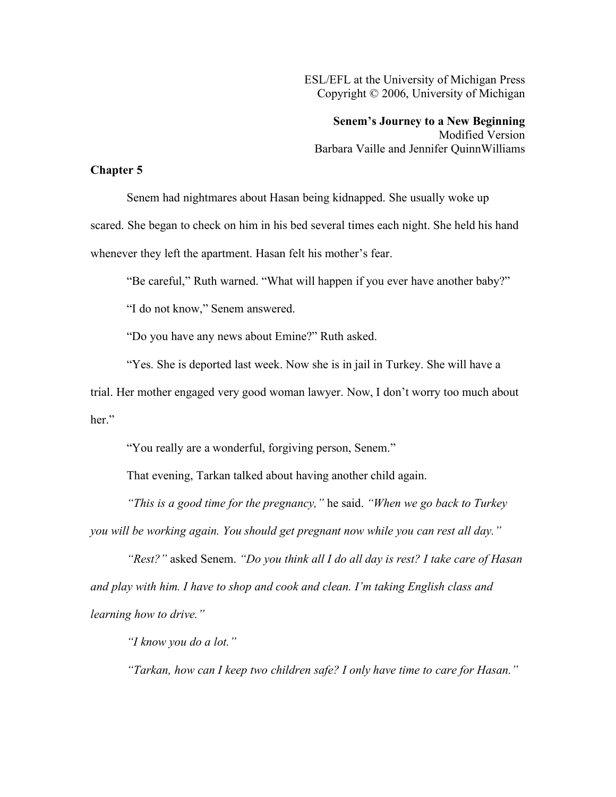ESL/EFL at the University of Michigan Press Copyright © 2006, University of Michigan

**Senem's Journey to a New Beginning** Modified Version Barbara Vaille and Jennifer QuinnWilliams

## **Chapter 5**

Senem had nightmares about Hasan being kidnapped. She usually woke up scared. She began to check on him in his bed several times each night. She held his hand whenever they left the apartment. Hasan felt his mother's fear.

"Be careful," Ruth warned. "What will happen if you ever have another baby?"

"I do not know," Senem answered.

"Do you have any news about Emine?" Ruth asked.

"Yes. She is deported last week. Now she is in jail in Turkey. She will have a

trial. Her mother engaged very good woman lawyer. Now, I don't worry too much about her."

"You really are a wonderful, forgiving person, Senem."

That evening, Tarkan talked about having another child again.

*"This is a good time for the pregnancy,"* he said. *"When we go back to Turkey*

*you will be working again. You should get pregnant now while you can rest all day."*

*"Rest?"* asked Senem. *"Do you think all I do all day is rest? I take care of Hasan and play with him. I have to shop and cook and clean. I'm taking English class and learning how to drive."*

*"I know you do a lot."*

*"Tarkan, how can I keep two children safe? I only have time to care for Hasan."*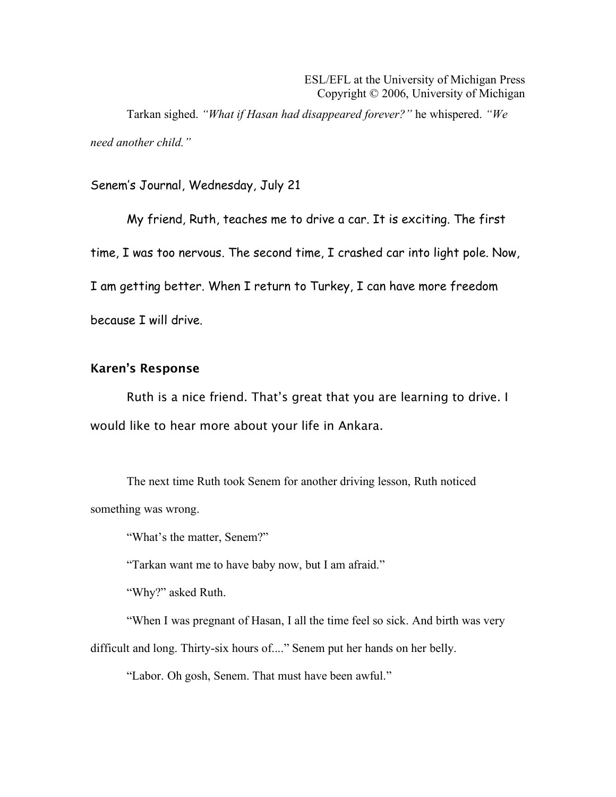Tarkan sighed. *"What if Hasan had disappeared forever?"* he whispered. *"We need another child."*

## Senem's Journal, Wednesday, July 21

My friend, Ruth, teaches me to drive a car. It is exciting. The first time, I was too nervous. The second time, I crashed car into light pole. Now, I am getting better. When I return to Turkey, I can have more freedom because I will drive.

## Karen's Response

Ruth is a nice friend. That's great that you are learning to drive. I would like to hear more about your life in Ankara.

The next time Ruth took Senem for another driving lesson, Ruth noticed something was wrong.

"What's the matter, Senem?"

"Tarkan want me to have baby now, but I am afraid."

"Why?" asked Ruth.

"When I was pregnant of Hasan, I all the time feel so sick. And birth was very

difficult and long. Thirty-six hours of...." Senem put her hands on her belly.

"Labor. Oh gosh, Senem. That must have been awful."